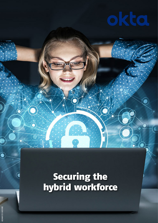# Securing the hybrid workforce

•(●

 $\overline{\bullet}$ 

G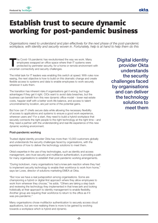

# Establish trust to secure dynamic working for post-pandemic business

*Organisations need to understand and plan effectively for the next phase of the post-pandemic workplace, with identity and security woven in. Fortunately, help is at hand to help them do this*

The Covid-19 pandemic has revolutionised the way we work. Many employees swapped an office space where their IT systems were protected by perimeter security, for a home or remote environment with uncertain connectivity and security challenges.

The initial task for IT leaders was enabling this switch at speed. With rules now easing, the next objective is how to build on this dramatic change and create flexible access to systems and data to enable employees to work securely wherever it suits them.

The transition has inherent risks if organisations get it wrong, but huge advantages if they get it right. CIOs want to avoid data breaches, but the business can benefit from this new dynamic office model – lower real estate costs, happier staff with a better work-life balance, and access to talent unconstrained by location, are just some of the potential gains.

But how can IT chiefs secure data while allowing the necessary flexibility of access to applications and systems to ensure a good work experience, wherever users are? For a start, they need to build a hybrid workplace that securely connects the right people to the right technology at the right time – and they need a partner with the understanding and real-life experience of this new dynamic working environment.

## Post-pandemic working

Trusted digital identity provider Okta has more than 10,000 customers globally and understands the security challenges faced by organisations, with the experience of how to deliver the technology solutions to meet them.

Okta's expertise in the use of key technologies, such as identity and access management, zero-trust security and multifactor authentication, is providing a path for many organisations to establish their post-pandemic working arrangements.

"During lockdown, many organisations had a knee-jerk reaction where they had to implement security technology to enable their workforce to work from home," says Ian Lowe, director of solutions marketing EMEA at Okta.

"But now we have a real juxtaposition among organisations. Some are championing a hybrid or digital-first approach where they allow employees to work from wherever they choose," he adds. "Others are taking a step back and reviewing the technology they implemented in that knee-jerk and looking holistically at their approach to identity management to enable flexibility. Another group are requiring their workforce to return to the office as if it was pre-pandemic."

Many organisations chose multifactor authentication to securely access cloud applications, but are now realising there is more to be gained by evolving towards a workplace which is hybrid and dynamic.

Digital identity provider Okta understands the security challenges faced by organisations and can deliver the technology solutions to meet them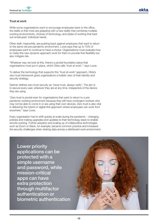

## Trust at work

While some organisations want to encourage employees back to the office, the reality is that most are grappling with a new reality that combines multiple working environments, choices of technology, and styles of working that best suit employees' individual needs.

Other staff, meanwhile, are pushing back against employers that want to return to the same old pre-pandemic environment. Lowe says that up to 70% of employees want to continue to have a choice. Organisations must evaluate how to make this new dynamic approach work for them to provide that flexibility but also mitigate risk.

"Whatever way we look at this, there's a pivotal foundation piece that organisations must put in place, which Okta calls 'trust at work'," says Lowe.

To deliver the technology that supports this "trust at work" approach, Okta's zero-trust framework gives organisations a holistic view of their identity and security strategy.

Gartner defines zero-trust security as "never trust, always verify". The aim is to secure every user, wherever they are at any time, irrespective of the device they are using.

"Zero trust is pivotal even for organisations that want to return to a prepandemic working environment because they still have contingent workers who may not be able to come in or are using their own devices. Zero trust is also vital in delivering the hybrid or digital-first approach where employees can work from anywhere," says Lowe.

Every organisation had to shift quickly at scale during the pandemic – changing policies and making upgrades and updates to their technology stack to enable remote working. Further adoption and scaling up of collaborative technologies such as Zoom or Slack, for example, became common practice and increased the security challenges when sharing data across a distributed work environment.

Lower priority applications can be protected with a simple username and password, while mission-critical apps can have extra protection through multifactor authentication or biometric authentication

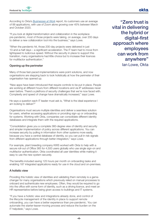

According to Okta's *Businesses at Work* report, its customers use an average of 88 applications, with use of Zoom alone growing over 45% between March and October 2020.

"If you look at digital transformation and collaboration in the workplace pre-pandemic, most of those projects were taking, on average, over 200 days to deliver a new collaboration tool into the business," says Lowe.

"When the pandemic hit, those 200-day projects were delivered in just 10-and-a-half days – a significant acceleration. The IT team had to move from lightspeed to ludicrous speed. Without the security in place to support this transition, many organisations had little choice but to increase their licences for multifactor authentication."

#### Opening up the perimeter

Many of those fast-paced implementations were point solutions, and now organisations are stepping back to look holistically at how the perimeter of their organisation has opened up.

"New apps have been introduced that require controls to be put in place. People are working at different hours from different locations and via IP addresses never seen before. There's a plethora of security challenges that we're now faced with. Complexity and speed of change have dramatically increased," says Lowe.

He says a question each IT leader must ask is, "What is the ideal experience I am looking to deliver?"

Organisations must secure multiple identities and deliver a seamless solution for users, whether accessing applications or providing sign-up or onboarding for systems. Working with Okta, companies can consolidate different identity databases and integrate them with the required applications.

"Consolidation gives you a complete 360-degree view of identity and security and simpler implementation of policy across different applications. You can increase security by pulling in information from other systems more easily, because you have a central database of identity, so you can pull in risk signals from different applications through better integration," says Lowe.

For example, plant breeding company KWS worked with Okta to help with a secure roll-out of Office 365 for 4,500 users globally who use single sign-on and multifactor authentication. Okta coordinated all user identities while making it easy to use the new system securely.

The benefits included saving 125 hours per month on onboarding tasks and enabling 187 integrated applications ready for use in the cloud and on-premises.

#### A holistic view

Providing this holistic view of identities and validating them remotely is a gamechanger for many organisations which previously relied on manual processes to onboard and authenticate new employees. Often, they would be required to go into the office with some form of identity, such as a driving licence, and meet an HR representative before being given access to buildings and IT systems.

"If you have a holistic view and integrations already done, and control of the lifecycle management of the identity in place to support remote onboarding, you can have a better experience than pre-pandemic. You can automate the starter-leaver-moving process and reduce the burden on the IT helpdesk," says Lowe.

"Zero trust is vital in delivering the hybrid or digital-first approach where employees can work from anywhere" Ian Lowe, Okta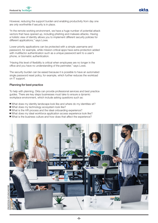

However, reducing the support burden and enabling productivity from day one are only worthwhile if security is in place.

"In the remote working environment, we have a huge number of potential attack vectors that have opened up, including phishing and malware attacks. Having a holistic view of identity allows you to implement different security policies for different applications," says Lowe.

Lower priority applications can be protected with a simple username and password, for example, while mission-critical apps have extra protection added with multifactor authentication such as a unique password sent to a user's phone, or biometric authentication.

"Having this level of flexibility is critical when employees are no longer in the office and you have no understanding of the perimeter," says Lowe.

The security burden can be eased because it is possible to have an automated single password reset policy, for example, which further reduces the workload on IT support.

#### Planning for best practice

To help with planning, Okta can provide professional services and best practice guides. There are key steps businesses must take to ensure a dynamic workplace environment, which include asking questions such as:

- What does my identity landscape look like and where do my identities sit?
- What does my technology ecosystem look like?
- What is the HR process and the ideal onboarding experience?
- What does my ideal workforce application access experience look like?
- What is the business culture and how does that affect the experience?

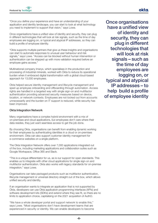

"Once you define your experience and have an understanding of your application and identity landscape, you can start to look at what technology you need to implement to support that vision," says Lowe.

Once organisations have a unified view of identity and security, they can plug in different technologies that will look at risk signals, such as the time of day employees are logging on, or typical and atypical IP addresses, so they can build a profile of employee identity.

"Okta supports multiple partners that give us these insights and organisations can start to automate responses to unusual user behaviour and risk signals," says Lowe. "Access can be blocked without human intervention or authentication can be stepped up with more validation required before an employee gains access."

Multinational company Imerys, which specialises in the production and processing of industrial minerals, worked with Okta to reduce its operational burden when it embraced digital transformation with a global cloud-based approach for 13,000 employees.

Okta helped secure identity management and lifecycle management and sped up employee onboarding and offboarding through automation. Access rights are handled in a targeted way with single sign-on and multifactor authentication providing advanced security measures based on device, location, or network contexts. Employees are not locked out from accounts unnecessarily and the burden on IT support is reduced, while security has been improved.

#### Okta Integration Network

Many organisations have a complex hybrid environment with a mix of on-premises and cloud applications, but employees don't care where their data resides, they just want seamless access to get the job done.

By choosing Okta, organisations can benefit from enabling dynamic working for their employees by authenticating identities in a cloud or on-premises environment. Okta can also support customer identity management for e-commerce websites on a single platform.

The Okta Integration Network offers over 7,000 applications integrated out of the box, including marketing applications and collaboration suites such as Google Workspace, Office 365 and Slack.

"This is a unique differentiator for us, as is our support for open standards. This enables us to integrate with other cloud applications for single sign-on and multifactor authentication. Okta also works with legacy standards for on-premise integration," says Lowe.

Organisations can take packaged products such as multifactor authentication, lifecycle management or universal directory straight out of the box, which allows unified security and identity.

If an organisation wants to integrate an application that is not supported by Okta, developers can use Okta applicatoin programming interfaces (APIs) and software development kits (SDKs) and extend where they see fit, so there are no limits to application choice, capitalising on the 2021 acquisition of AuthO.

"We have a whole developer portal and support network to enable this," says Lowe. "Most organisations don't have development teams that are experienced in security or identity. We can enable developers to become

Once organisations have a unified view of identity and security, they can plug in different technologies that will look at risk signals – such as the time of day employees are logging on, or typical and atypical IP addresses – to help build a profile of employee identity